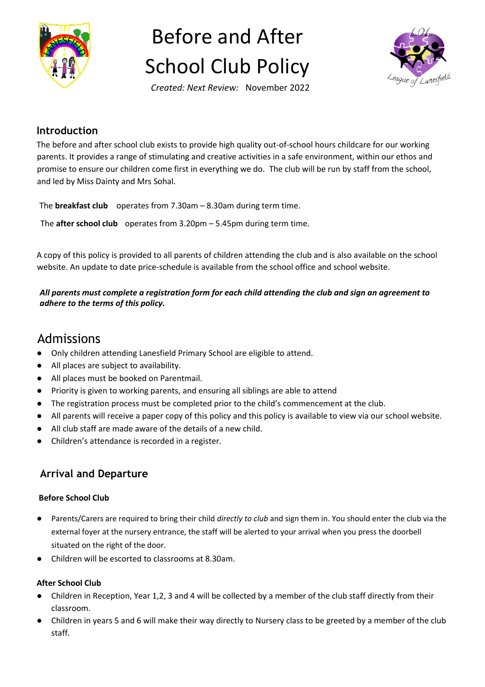

# Before and After School Club Policy



*Created: Next Review:* November 2022

#### **Introduction**

The before and after school club exists to provide high quality out-of-school hours childcare for our working parents. It provides a range of stimulating and creative activities in a safe environment, within our ethos and promise to ensure our children come first in everything we do. The club will be run by staff from the school, and led by Miss Dainty and Mrs Sohal.

The **breakfast club** operates from 7.30am – 8.30am during term time.

The **after school club** operates from 3.20pm – 5.45pm during term time.

A copy of this policy is provided to all parents of children attending the club and is also available on the school website. An update to date price-schedule is available from the school office and school website.

#### *All parents must complete a registration form for each child attending the club and sign an agreement to adhere to the terms of this policy.*

## Admissions

- Only children attending Lanesfield Primary School are eligible to attend.
- All places are subject to availability.
- All places must be booked on Parentmail.
- Priority is given to working parents, and ensuring all siblings are able to attend
- The registration process must be completed prior to the child's commencement at the club.
- All parents will receive a paper copy of this policy and this policy is available to view via our school website.
- All club staff are made aware of the details of a new child.
- Children's attendance is recorded in a register.

#### **Arrival and Departure**

#### **Before School Club**

- Parents/Carers are required to bring their child *directly to club* and sign them in. You should enter the club via the external foyer at the nursery entrance, the staff will be alerted to your arrival when you press the doorbell situated on the right of the door.
- Children will be escorted to classrooms at 8.30am.

#### **After School Club**

- Children in Reception, Year 1,2, 3 and 4 will be collected by a member of the club staff directly from their classroom.
- Children in years 5 and 6 will make their way directly to Nursery class to be greeted by a member of the club staff.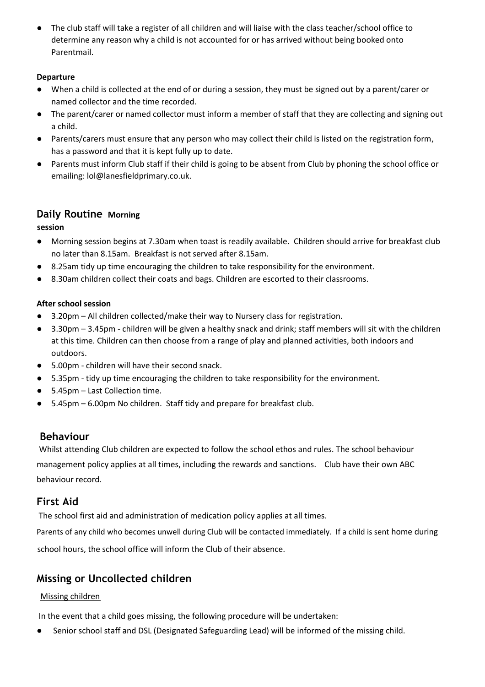● The club staff will take a register of all children and will liaise with the class teacher/school office to determine any reason why a child is not accounted for or has arrived without being booked onto Parentmail.

#### **Departure**

- When a child is collected at the end of or during a session, they must be signed out by a parent/carer or named collector and the time recorded.
- The parent/carer or named collector must inform a member of staff that they are collecting and signing out a child.
- Parents/carers must ensure that any person who may collect their child is listed on the registration form, has a password and that it is kept fully up to date.
- Parents must inform Club staff if their child is going to be absent from Club by phoning the school office or emailing: lol@lanesfieldprimary.co.uk.

#### **Daily Routine Morning**

**session** 

- Morning session begins at 7.30am when toast is readily available. Children should arrive for breakfast club no later than 8.15am. Breakfast is not served after 8.15am.
- 8.25am tidy up time encouraging the children to take responsibility for the environment.
- 8.30am children collect their coats and bags. Children are escorted to their classrooms.

#### **After school session**

- 3.20pm All children collected/make their way to Nursery class for registration.
- 3.30pm 3.45pm children will be given a healthy snack and drink; staff members will sit with the children at this time. Children can then choose from a range of play and planned activities, both indoors and outdoors.
- 5.00pm children will have their second snack.
- 5.35pm tidy up time encouraging the children to take responsibility for the environment.
- 5.45pm Last Collection time.
- 5.45pm 6.00pm No children. Staff tidy and prepare for breakfast club.

#### **Behaviour**

Whilst attending Club children are expected to follow the school ethos and rules. The school behaviour management policy applies at all times, including the rewards and sanctions. Club have their own ABC behaviour record.

#### **First Aid**

The school first aid and administration of medication policy applies at all times.

Parents of any child who becomes unwell during Club will be contacted immediately. If a child is sent home during school hours, the school office will inform the Club of their absence.

### **Missing or Uncollected children**

#### Missing children

In the event that a child goes missing, the following procedure will be undertaken:

Senior school staff and DSL (Designated Safeguarding Lead) will be informed of the missing child.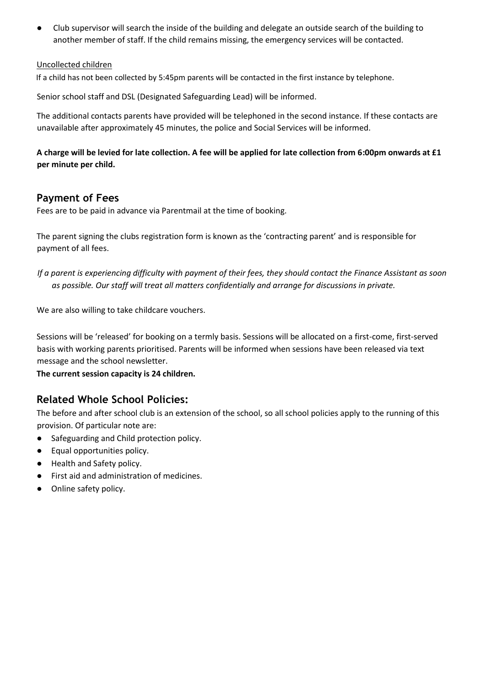Club supervisor will search the inside of the building and delegate an outside search of the building to another member of staff. If the child remains missing, the emergency services will be contacted.

#### Uncollected children

If a child has not been collected by 5:45pm parents will be contacted in the first instance by telephone.

Senior school staff and DSL (Designated Safeguarding Lead) will be informed.

The additional contacts parents have provided will be telephoned in the second instance. If these contacts are unavailable after approximately 45 minutes, the police and Social Services will be informed.

#### **A charge will be levied for late collection. A fee will be applied for late collection from 6:00pm onwards at £1 per minute per child.**

#### **Payment of Fees**

Fees are to be paid in advance via Parentmail at the time of booking.

The parent signing the clubs registration form is known as the 'contracting parent' and is responsible for payment of all fees.

*If a parent is experiencing difficulty with payment of their fees, they should contact the Finance Assistant as soon as possible. Our staff will treat all matters confidentially and arrange for discussions in private.*

We are also willing to take childcare vouchers.

Sessions will be 'released' for booking on a termly basis. Sessions will be allocated on a first-come, first-served basis with working parents prioritised. Parents will be informed when sessions have been released via text message and the school newsletter.

**The current session capacity is 24 children.** 

#### **Related Whole School Policies:**

The before and after school club is an extension of the school, so all school policies apply to the running of this provision. Of particular note are:

- Safeguarding and Child protection policy.
- Equal opportunities policy.
- Health and Safety policy.
- First aid and administration of medicines.
- Online safety policy.